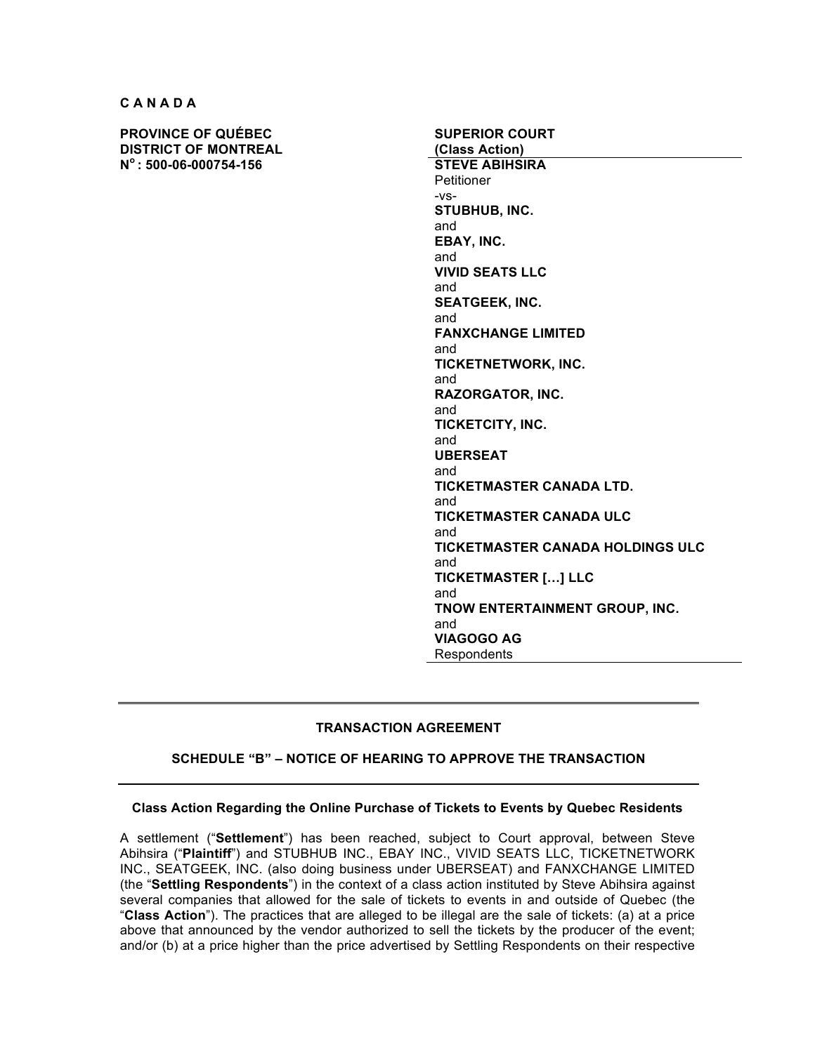**C A N A D A**

**PROVINCE OF QUÉBEC DISTRICT OF MONTREAL N<sup>o</sup> : 500-06-000754-156 STEVE ABIHSIRA**

**SUPERIOR COURT (Class Action) Petitioner** -vs-**STUBHUB, INC.** and **EBAY, INC.** and **VIVID SEATS LLC** and **SEATGEEK, INC.** and **FANXCHANGE LIMITED** and **TICKETNETWORK, INC.** and **RAZORGATOR, INC.** and **TICKETCITY, INC.** and **UBERSEAT** and **TICKETMASTER CANADA LTD.** and **TICKETMASTER CANADA ULC** and **TICKETMASTER CANADA HOLDINGS ULC** and **TICKETMASTER […] LLC** and **TNOW ENTERTAINMENT GROUP, INC.** and **VIAGOGO AG** Respondents

# **TRANSACTION AGREEMENT**

### **SCHEDULE "B" – NOTICE OF HEARING TO APPROVE THE TRANSACTION**

#### **Class Action Regarding the Online Purchase of Tickets to Events by Quebec Residents**

A settlement ("**Settlement**") has been reached, subject to Court approval, between Steve Abihsira ("**Plaintiff**") and STUBHUB INC., EBAY INC., VIVID SEATS LLC, TICKETNETWORK INC., SEATGEEK, INC. (also doing business under UBERSEAT) and FANXCHANGE LIMITED (the "**Settling Respondents**") in the context of a class action instituted by Steve Abihsira against several companies that allowed for the sale of tickets to events in and outside of Quebec (the "**Class Action**"). The practices that are alleged to be illegal are the sale of tickets: (a) at a price above that announced by the vendor authorized to sell the tickets by the producer of the event; and/or (b) at a price higher than the price advertised by Settling Respondents on their respective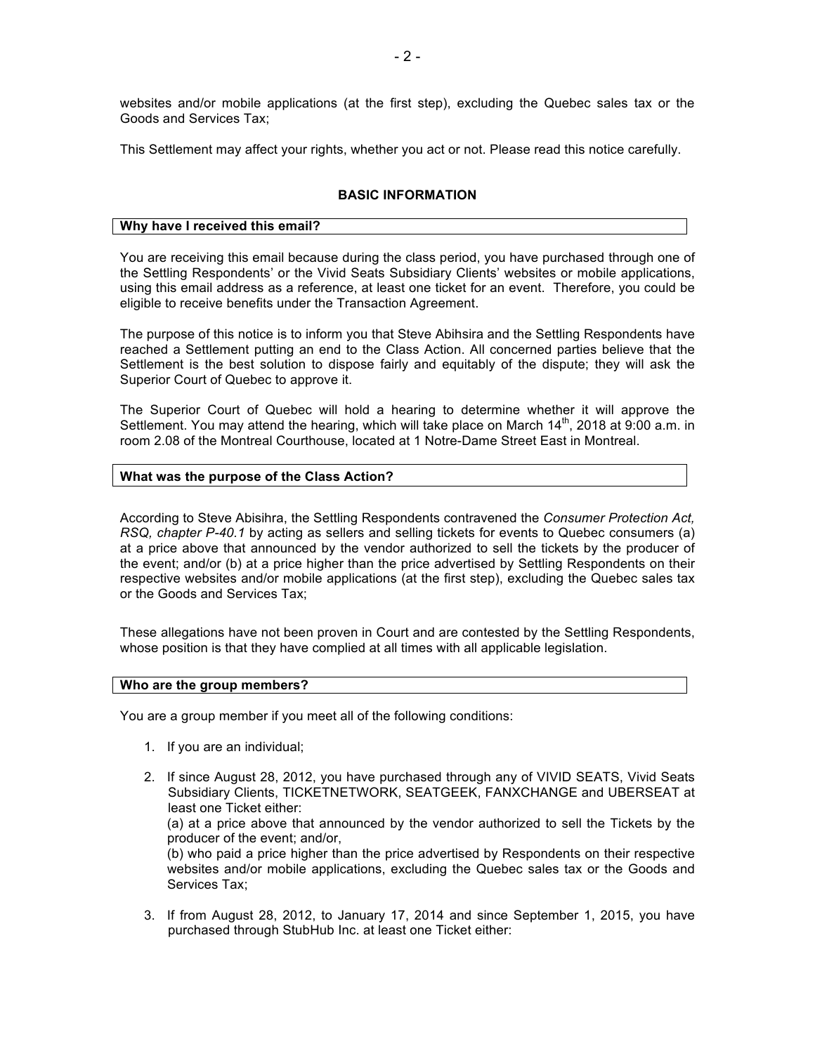websites and/or mobile applications (at the first step), excluding the Quebec sales tax or the Goods and Services Tax;

This Settlement may affect your rights, whether you act or not. Please read this notice carefully.

### **BASIC INFORMATION**

#### **Why have I received this email?**

You are receiving this email because during the class period, you have purchased through one of the Settling Respondents' or the Vivid Seats Subsidiary Clients' websites or mobile applications, using this email address as a reference, at least one ticket for an event. Therefore, you could be eligible to receive benefits under the Transaction Agreement.

The purpose of this notice is to inform you that Steve Abihsira and the Settling Respondents have reached a Settlement putting an end to the Class Action. All concerned parties believe that the Settlement is the best solution to dispose fairly and equitably of the dispute; they will ask the Superior Court of Quebec to approve it.

The Superior Court of Quebec will hold a hearing to determine whether it will approve the Settlement. You may attend the hearing, which will take place on March  $14<sup>th</sup>$ , 2018 at 9:00 a.m. in room 2.08 of the Montreal Courthouse, located at 1 Notre-Dame Street East in Montreal.

#### **What was the purpose of the Class Action?**

According to Steve Abisihra, the Settling Respondents contravened the *Consumer Protection Act, RSQ, chapter P-40.1* by acting as sellers and selling tickets for events to Quebec consumers (a) at a price above that announced by the vendor authorized to sell the tickets by the producer of the event; and/or (b) at a price higher than the price advertised by Settling Respondents on their respective websites and/or mobile applications (at the first step), excluding the Quebec sales tax or the Goods and Services Tax;

These allegations have not been proven in Court and are contested by the Settling Respondents, whose position is that they have complied at all times with all applicable legislation.

#### **Who are the group members?**

You are a group member if you meet all of the following conditions:

- 1. If you are an individual;
- 2. If since August 28, 2012, you have purchased through any of VIVID SEATS, Vivid Seats Subsidiary Clients, TICKETNETWORK, SEATGEEK, FANXCHANGE and UBERSEAT at least one Ticket either: (a) at a price above that announced by the vendor authorized to sell the Tickets by the producer of the event; and/or,

(b) who paid a price higher than the price advertised by Respondents on their respective websites and/or mobile applications, excluding the Quebec sales tax or the Goods and Services Tax;

3. If from August 28, 2012, to January 17, 2014 and since September 1, 2015, you have purchased through StubHub Inc. at least one Ticket either: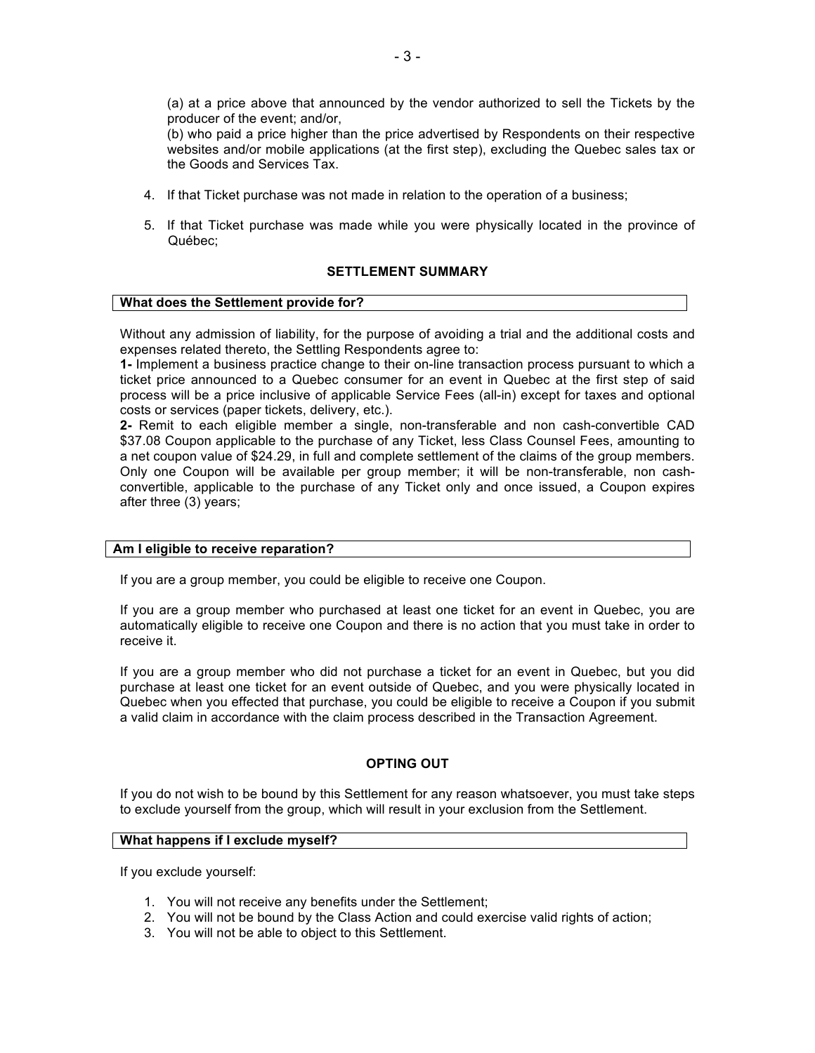(a) at a price above that announced by the vendor authorized to sell the Tickets by the producer of the event; and/or,

(b) who paid a price higher than the price advertised by Respondents on their respective websites and/or mobile applications (at the first step), excluding the Quebec sales tax or the Goods and Services Tax.

- 4. If that Ticket purchase was not made in relation to the operation of a business;
- 5. If that Ticket purchase was made while you were physically located in the province of Québec;

## **SETTLEMENT SUMMARY**

#### **What does the Settlement provide for?**

Without any admission of liability, for the purpose of avoiding a trial and the additional costs and expenses related thereto, the Settling Respondents agree to:

**1-** Implement a business practice change to their on-line transaction process pursuant to which a ticket price announced to a Quebec consumer for an event in Quebec at the first step of said process will be a price inclusive of applicable Service Fees (all-in) except for taxes and optional costs or services (paper tickets, delivery, etc.).

**2-** Remit to each eligible member a single, non-transferable and non cash-convertible CAD \$37.08 Coupon applicable to the purchase of any Ticket, less Class Counsel Fees, amounting to a net coupon value of \$24.29, in full and complete settlement of the claims of the group members. Only one Coupon will be available per group member; it will be non-transferable, non cashconvertible, applicable to the purchase of any Ticket only and once issued, a Coupon expires after three (3) years;

### **Am I eligible to receive reparation?**

If you are a group member, you could be eligible to receive one Coupon.

If you are a group member who purchased at least one ticket for an event in Quebec, you are automatically eligible to receive one Coupon and there is no action that you must take in order to receive it.

If you are a group member who did not purchase a ticket for an event in Quebec, but you did purchase at least one ticket for an event outside of Quebec, and you were physically located in Quebec when you effected that purchase, you could be eligible to receive a Coupon if you submit a valid claim in accordance with the claim process described in the Transaction Agreement.

### **OPTING OUT**

If you do not wish to be bound by this Settlement for any reason whatsoever, you must take steps to exclude yourself from the group, which will result in your exclusion from the Settlement.

#### **What happens if I exclude myself?**

If you exclude yourself:

- 1. You will not receive any benefits under the Settlement;
- 2. You will not be bound by the Class Action and could exercise valid rights of action;
- 3. You will not be able to object to this Settlement.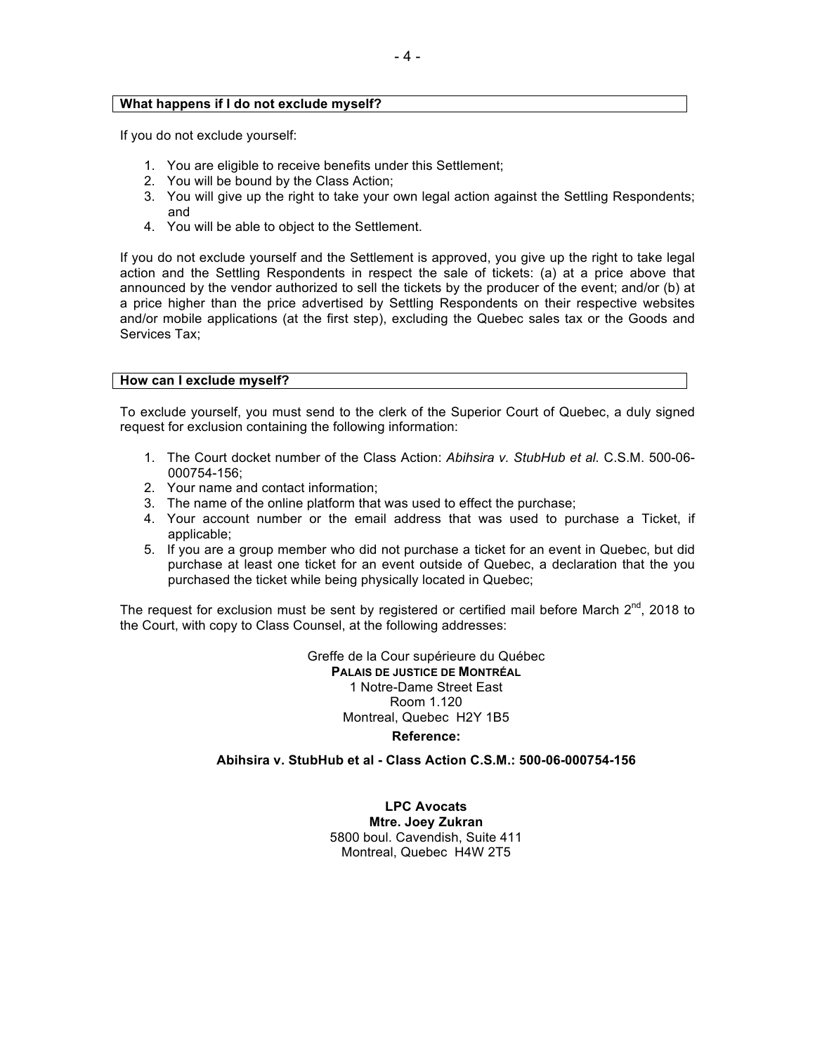### **What happens if I do not exclude myself?**

If you do not exclude yourself:

- 1. You are eligible to receive benefits under this Settlement;
- 2. You will be bound by the Class Action;
- 3. You will give up the right to take your own legal action against the Settling Respondents; and
- 4. You will be able to object to the Settlement.

If you do not exclude yourself and the Settlement is approved, you give up the right to take legal action and the Settling Respondents in respect the sale of tickets: (a) at a price above that announced by the vendor authorized to sell the tickets by the producer of the event; and/or (b) at a price higher than the price advertised by Settling Respondents on their respective websites and/or mobile applications (at the first step), excluding the Quebec sales tax or the Goods and Services Tax;

## **How can I exclude myself?**

To exclude yourself, you must send to the clerk of the Superior Court of Quebec, a duly signed request for exclusion containing the following information:

- 1. The Court docket number of the Class Action: *Abihsira v. StubHub et al.* C.S.M. 500-06- 000754-156;
- 2. Your name and contact information;
- 3. The name of the online platform that was used to effect the purchase;
- 4. Your account number or the email address that was used to purchase a Ticket, if applicable;
- 5. If you are a group member who did not purchase a ticket for an event in Quebec, but did purchase at least one ticket for an event outside of Quebec, a declaration that the you purchased the ticket while being physically located in Quebec;

The request for exclusion must be sent by registered or certified mail before March  $2^{nd}$ , 2018 to the Court, with copy to Class Counsel, at the following addresses:

> Greffe de la Cour supérieure du Québec **PALAIS DE JUSTICE DE MONTRÉAL** 1 Notre-Dame Street East Room 1.120 Montreal, Quebec H2Y 1B5

## **Reference:**

# **Abihsira v. StubHub et al - Class Action C.S.M.: 500-06-000754-156**

**LPC Avocats Mtre. Joey Zukran** 5800 boul. Cavendish, Suite 411 Montreal, Quebec H4W 2T5